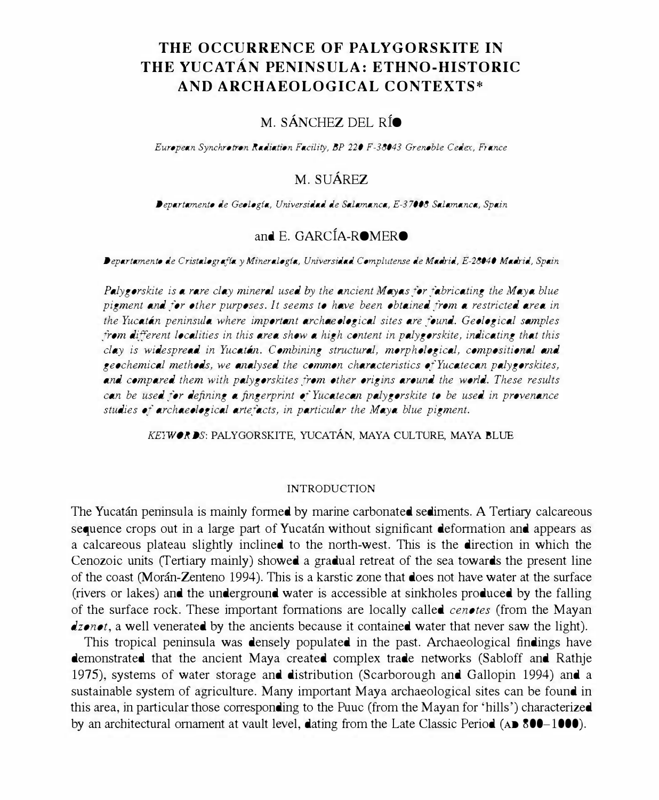# THE OCCURRENCE OF PALYGORSKITE IN THE YUCATAN PENINSULA: E THNO-HISTORIC AND ARCHAEOLOGICAL CONTEXTS·

# M. SÁNCHEZ DEL RÍO

European Synchrotron Radiation Facility, BP 220 F-38043 Grenoble Cedex, France

# M. SUÁREZ

Departamento de Geologfa, Universidad de Salamanca, £-37008 Salamanca, Spain

### and E. GARCfA-ROMERO

Departamento de Cristalografía y Mineralogía, Universidad Complutense de Madrid, E-28040 Madrid, Spain

Palygorskite is a rare clay mineral used by the ancient Mayas for fabricating the Maya blue pigment and for other purposes. It seems to have been obtained from a restricted area in the Yucatan peninsula where important archaeological sites are found. Geological samples from different localities in this area show a high content in palygorskite, indicating that this clay is widespread in Yucatan. Combining structural, morphological, compositional and geochemical methods, we analysed the common characteristics of Yucatecan palygorskites, and compared them with palygorskites from other origins around the world. These results can be used for defining a fingerprint of Yucatecan palygorskite to be used in provenance studies of archaeological artefacts, in particular the Maya blue pigment.

KEYWORDS: PALYGORSKITE, YUCATÁN, MAYA CULTURE, MAYA BLUE

#### INTRODUCTION

The Yucatán peninsula is mainly formed by marine carbonated sediments. A Tertiary calcareous sequence crops out in a large part of Yucatán without significant deformation and appears as a calcareous plateau slightly inclined to the north-west. This is the direction in which the Cenozoic units (Tertiary mainly) showed a gradual retreat of the sea towards the present line of the coast (Moran-Zenteno 1994). This is a karstic zone that does not have water at the surface (rivers or lakes) and the underground water is accessible at sinkholes produced by the falling of the surface rock. These important fonnations are locally called cenotes (from the Mayan dzonot, a well venerated by the ancients because it contained water that never saw the light).

This tropical peninsula was densely populated in the past. Archaeological findings have demonstrated that the ancient Maya created complex trade networks (Sabloff and Rathje 1975), systems of water storage and distribution (Scarborough and Gallopin 1994) and a sustainable system of agriculture. Many important Maya archaeological sites can be found in this area, in particular those corresponding to the Puuc (from the Mayan for 'hills') characterized by an architectural ornament at vault level, dating from the Late Classic Period (AD 800-1000).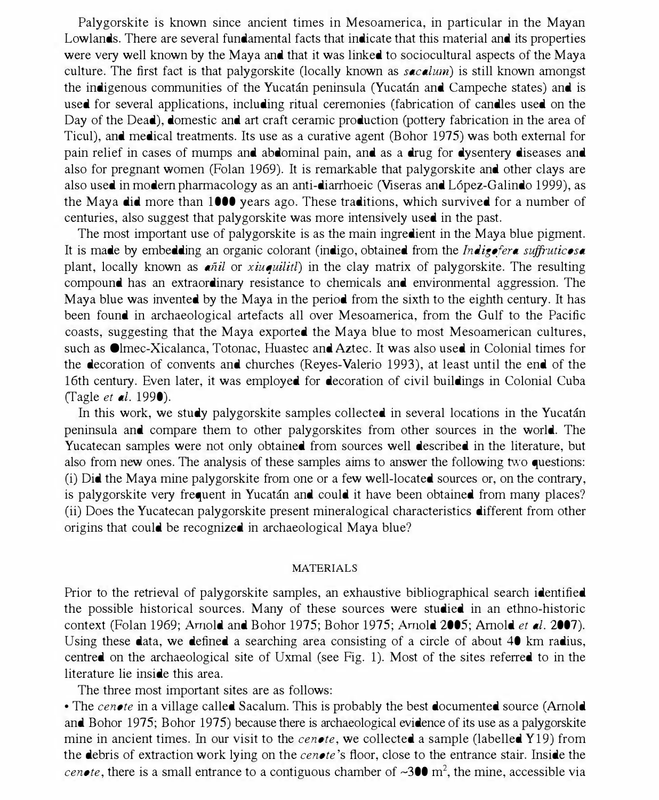Palygorskite is known since ancient times in Mesoamerica, in particular in the Mayan Lowlands. There are several fundamental facts that indicate that this material and its properties were very well known by the Maya and that it was linked to sociocultural aspects of the Maya culture. The first fact is that palygorskite (locally known as *sacalum*) is still known amongst the indigenous communities of the Yucatan peninsula (Yucatan and Campeche states) and is used for several applications, including ritual ceremonies (fabrication of candles used on the Day of the Dead), domestic and art craft ceramic production (pottery fabrication in the area of Ticul), and medical treatments. Its use as a curative agent (Bohor 1975) was both external for pain relief in cases of mumps and abdominal pain, and as a drug for dysentery diseases and also for pregnant women (Folan 1969). It is remarkable that palygorskite and other clays are also used in modem pharmacology as an anti-diarrhoeic (Viseras and L6pez-Galindo 1999), as the Maya did more than 1000 years ago. These traditions, which survived for a number of centuries, also suggest that palygorskite was more intensively used in the past.

The most important use of palygorskite is as the main ingredient in the Maya blue pigment. It is made by embedding an organic colorant (indigo, obtained from the *Indigofera suffruticosa* plant, locally known as  $\epsilon \tilde{n}$  or xiuquilition in the clay matrix of palygorskite. The resulting compound has an extraordinary resistance to chemicals and environmental aggression. The Maya blue was invented by the Maya in the period from the sixth to the eighth century. It has been found in archaeological artefacts all over Mesoamerica, from the Gulf to the Pacific coasts, suggesting that the Maya exported the Maya blue to most Mesoamerican cultures, such as Olmec-Xicalanca, Totonac, Huastec and Aztec. It was also used in Colonial times for the decoration of convents and churches (Reyes-Valerio 1993), at least until the end of the 16th century. Even later, it was employed for decoration of civil buildings in Colonial Cuba (Tagle et al. 1990).

In this work, we study palygorskite samples collected in several locations in the Yucatán peninsula and compare them to other palygorskites from other sources in the world. The Yucatecan samples were not only obtained from sources well described in the literature, but also from new ones. The analysis of these samples aims to answer the following two questions: (i) Did the Maya mine palygorskite from one or a few well-located sources or, on the contrary, is palygorskite very frequent in Yucatan and could it have been obtained from many places? (ii) Does the Yucatecan palygorskite present mineralogical characteristics different from other origins that could be recognized in archaeological Maya blue?

#### **MATERIALS**

Prior to the retrieval of palygorskite samples, an exhaustive bibliographical search identified the possible historical sources. Many of these sources were studied in an ethno-historic context (Folan 1969; Arnold and Bohor 1975; Bohor 1975; Arnold 2005; Arnold *et al.* 2007). Using these data, we defined a searching area consisting of a circle of about 40 km radius, centred on the archaeological site of Uxmal (see Fig. 1). Most of the sites referred to in the literature lie inside this area.

The three most important sites are as follows:

• The cenote in a village called Sacalum. This is probably the best documented source (Arnold and Bohor 1975; Bohor 1975) because there is archaeological evidence of its use as a palygorskite mine in ancient times. In our visit to the *cenote*, we collected a sample (labelled Y19) from the debris of extraction work lying on the *cenote*'s floor, close to the entrance stair. Inside the cenote, there is a small entrance to a contiguous chamber of  $\sim 300$  m<sup>2</sup>, the mine, accessible via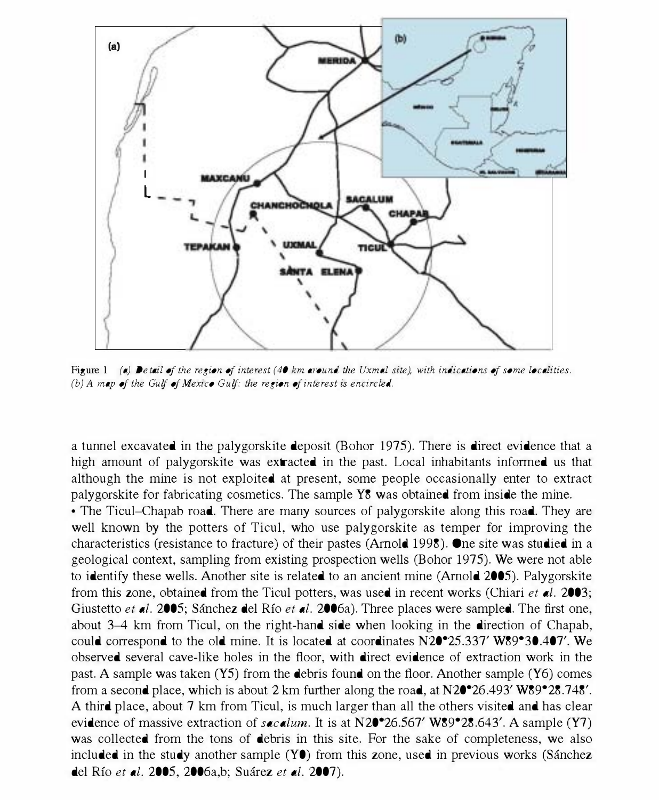

Figure 1 (a) Detail of the region of interest (40 km around the Uxmal site), with indications of some localities. (b) A map of the Gulf of Mexico Gulf: the region of interest is encircled.

a tunnel excavated in the palygorskite deposit (Bohor 1975). There is direct evidence that a high amount of palygorskite was extracted in the past. Local inhabitants informed us that although the mine is not exploited at present, some people occasionally enter to extract palygorskite for fabricating cosmetics. The sample Y8 was obtained from inside the mine .

• The Ticul–Chapab road. There are many sources of palygorskite along this road. They are well known by the potters of Ticul, who use palygorskite as temper for improving the characteristics (resistance to fracture) of their pastes (Amold 1998). One site was studied in a geological context, sampling from existing prospection wells (Bohor 1975). We were not able to identify these wells. Another site is related to an ancient mine (Arnold 2005). Palygorskite from this zone, obtained from the Ticul potters, was used in recent works (Chiari et  $d$ ). 2003; Giustetto et al. 2005; Sánchez del Río et al. 2006a). Three places were sampled. The first one, about 3-4 km from Ticul, on the right-hand side when looking in the direction of Chapab, could correspond to the old mine. It is located at coordinates N20<sup>•</sup>25.337' W89<sup>•30</sup>.407'. We observed several cave-like holes in the floor, with direct evidence of extraction work in the past. A sample was taken (Y5) from the debris found on the floor. Another sample (Y6) comes from a second place, which is about 2 km further along the road, at  $N20^{\circ}26.493' W89^{\circ}28.748'.$ A third place, about 7 km from Ticul, is much larger than all the others visited and has clear evidence of massive extraction of  $seculum$ . It is at N20°26.567' W89°28.643'. A sample (Y7) was collected from the tons of debris in this site. For the sake of completeness, we also included in the study another sample  $(Y\bullet)$  from this zone, used in previous works (Sánchez del Río et al. 2005, 2006a,b; Suárez et al. 2007).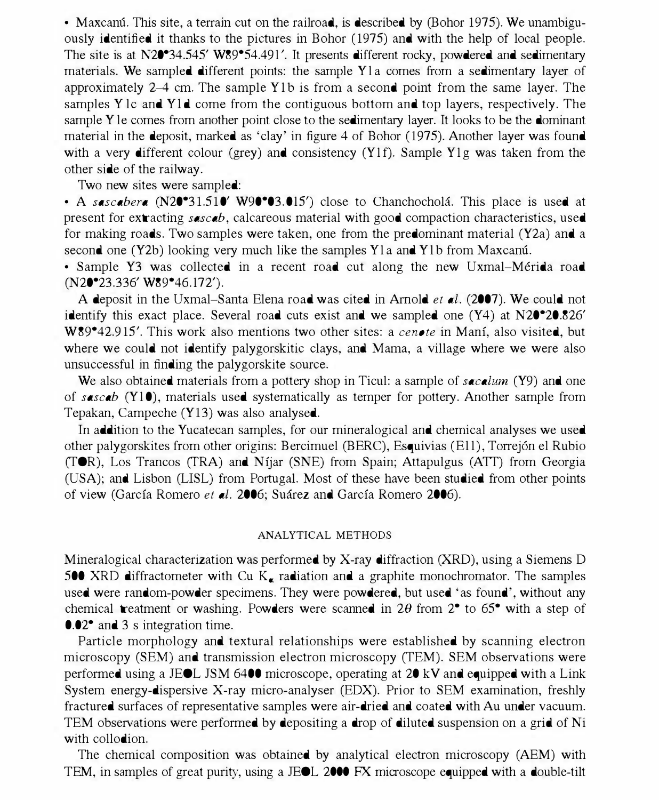• Maxcanu. This site, a terrain cut on the railroad, is described by (Bohor 1975). We unambiguously identified it thanks to the pictures in Bohor (1975) and with the help of local people. The site is at N20<sup>°</sup>34.545' W89<sup>°</sup>54.491'. It presents different rocky, powdered and sedimentary materials. We sampled different points: the sample Yla comes from a sedimentary layer of approximately 2–4 cm. The sample Y<sub>1</sub>b is from a second point from the same layer. The samples Y lc and YId come from the contiguous bottom and top layers, respectively. The sample Y le comes from another point close to the sedimentary layer. It looks to be the dominant material in the deposit, marked as 'clay' in figure 4 of Bohor (1975). Another layer was found with a very different colour (grey) and consistency (Y1f). Sample Y1g was taken from the other side of the railway.

Two new sites were sampled:

• A sascabera (N20°31.510' W90°03.015') close to Chanchocholá. This place is used at present for extracting sascab, calcareous material with good compaction characteristics, used for making roads. Two samples were taken, one from the predominant material (Y2a) and a second one (Y2b) looking very much like the samples Y1a and Y1b from Maxcanu.

• Sample Y3 was collected in a recent road cut along the new Uxmal-Mérida road  $(N20^{\circ}23.336'$  W89 $^{\circ}46.172'$ ).

A deposit in the Uxmal-Santa Elena road was cited in Arnold *et al.* (2007). We could not identify this exact place. Several road cuts exist and we sampled one  $(Y4)$  at  $N20^{\circ}20.826'$ W89<sup>•</sup>42.915'. This work also mentions two other sites: a cenote in Mani, also visited, but where we could not identify palygorskitic clays, and Mama, a village where we were also unsuccessful in finding the palygorskite source.

We also obtained materials from a pottery shop in Ticul: a sample of *sacalum* (Y9) and one of sascab (Y10), materials used systematically as temper for pottery. Another sample from Tepakan, Campeche (Y13) was also analysed.

In addition to the Yucatecan samples, for our mineralogical and chemical analyses we used other palygorskites from other origins: Bercimuel (BERC), Esquivias (El l), Torrej6n el Rubio (TOR), Los Trancos (TRA) and Nfjar (SNE) from Spain; Attapulgus (ATT) from Georgia (USA); and Lisbon (LISL) from Portugal. Most of these have been studied from other points of view (García Romero et al. 2006; Suárez and García Romero 2006).

#### ANALYTICAL METHODS

Mineralogical characterization was performed by X-ray diffraction (XRD), using a Siemens D 500 XRD diffractometer with Cu  $K_{\bullet}$  radiation and a graphite monochromator. The samples used were random-powder specimens. They were powdered, but used' as found', without any chemical treatment or washing. Powders were scanned in  $2\theta$  from  $2^{\bullet}$  to  $65^{\bullet}$  with a step of 0.02° and 3 s integration time.

Particle morphology and textural relationships were established by scanning electron microscopy (SEM) and transmission electron microscopy (TEM). SEM observations were performed using a JEOL JSM 6400 microscope, operating at 20 kV and equipped with a Link System energy-dispersive X-ray micro-analyser (EDX). Prior to SEM examination, freshly fractured surfaces of representative samples were air-dried and coated with Au under vacuum. TEM observations were performed by depositing a drop of diluted suspension on a grid of Ni with collodion.

The chemical composition was obtained by analytical electron microscopy (AEM) with TEM, in samples of great purity, using a JEOL 2000 FX microscope equipped with a double-tilt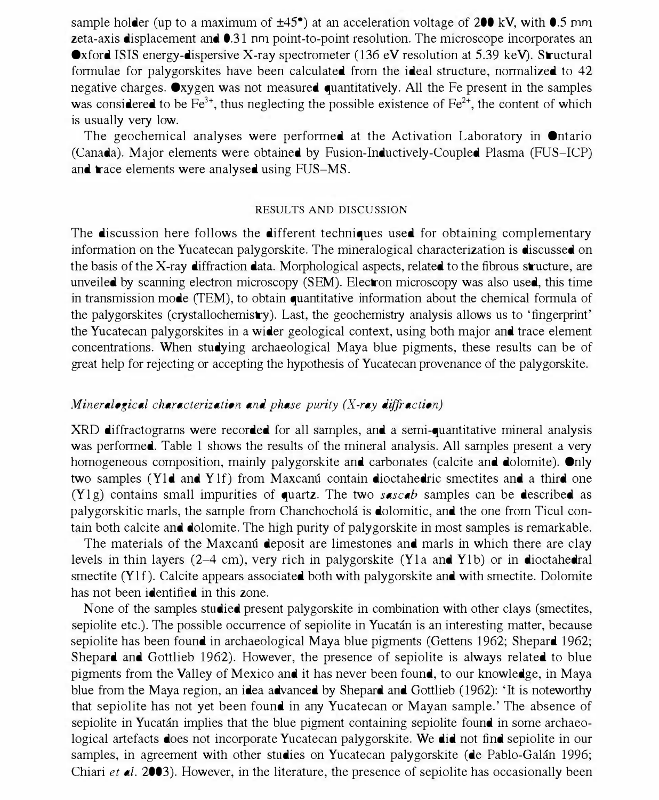sample holder (up to a maximum of  $\pm 45^\circ$ ) at an acceleration voltage of 200 kV, with 0.5 mm zeta-axis displacement and 0.31 nm point-to-point resolution. The microscope incorporates an Oxford ISIS energy-dispersive X-ray spectrometer (136 eV resolution at 5.39 keV). Structural formulae for palygorskites have been calculated from the ideal structure, normalized to 42 negative charges. Oxygen was not measured quantitatively. All the Fe present in the samples was considered to be  $Fe^{3+}$ , thus neglecting the possible existence of  $Fe^{2+}$ , the content of which is usually very low.

The geochemical analyses were performed at the Activation Laboratory in Ontario (Canada). Major elements were obtained by Fusion-Inductively-Coupled Plasma (FUS-ICP) and trace elements were analysed using FUS-MS.

### RESULTS AND DISCUSSION

The discussion here follows the different techniques used for obtaining complementary information on the Yucatecan palygorskite. The mineralogical characterization is discussed on the basis of the X-ray diffraction data. Morphological aspects, related to the fibrous structure, are unveiled by scanning electron microscopy (SEM). Electron microscopy was also used, this time in transmission mode (TEM), to obtain quantitative infonnation about the chemical fonnula of the palygorskites (crystallochemistry). Last, the geochemistry analysis allows us to 'fingerprint' the Yucatecan palygorskites in a wider geological context, using both major and trace element concentrations. When studying archaeological Maya blue pigments, these results can be of great help for rejecting or accepting the hypothesis of Yucatecan provenance of the palygorskite.

# Mineralogical characterization and phase purity  $(X-ray\;diffraction)$

XRD diffractograms were recorded for all samples, and a semi-quantitative mineral analysis was performed. Table 1 shows the results of the mineral analysis. All samples present a very homogeneous composition, mainly palygorskite and carbonates (calcite and dolomite). Only two samples (YId and Y lf) from Maxcanu contain dioctahedric smectites and a third one  $(Y|g)$  contains small impurities of quartz. The two *sascab* samples can be described as palygorskitic marls, the sample from Chanchochola is dolomitic, and the one from Ticul contain both calcite and dolomite. The high purity of palygorskite in most samples is remarkable.

The materials of the Maxcanu deposit are limestones and marls in which there are clay levels in thin layers  $(2-4 \text{ cm})$ , very rich in palygorskite (Y la and Y lb) or in dioctahedral smectite (Y1f). Calcite appears associated both with palygorskite and with smectite. Dolomite has not been identified in this zone.

None of the samples studied present palygorskite in combination with other clays (smectites, sepiolite etc.). The possible occurrence of sepiolite in Yucatán is an interesting matter, because sepiolite has been found in archaeological Maya blue pigments (Gettens 1962; Shepard 1962; Shepard and Gottlieb 1962). However, the presence of sepiolite is always related to blue pigments from the Valley of Mexico and it has never been found, to our knowledge, in Maya blue from the Maya region, an idea advanced by Shepard and Gottlieb (1962): 'It is noteworthy that sepiolite has not yet been found in any Yucatecan or Mayan sample.' The absence of sepiolite in Yucatán implies that the blue pigment containing sepiolite found in some archaeological artefacts does not incorporate Yucatecan palygorskite. We did not find sepiolite in our samples, in agreement with other studies on Yucatecan palygorskite (de Pablo-Galán 1996; Chiari et  $d$ . 2003). However, in the literature, the presence of sepiolite has occasionally been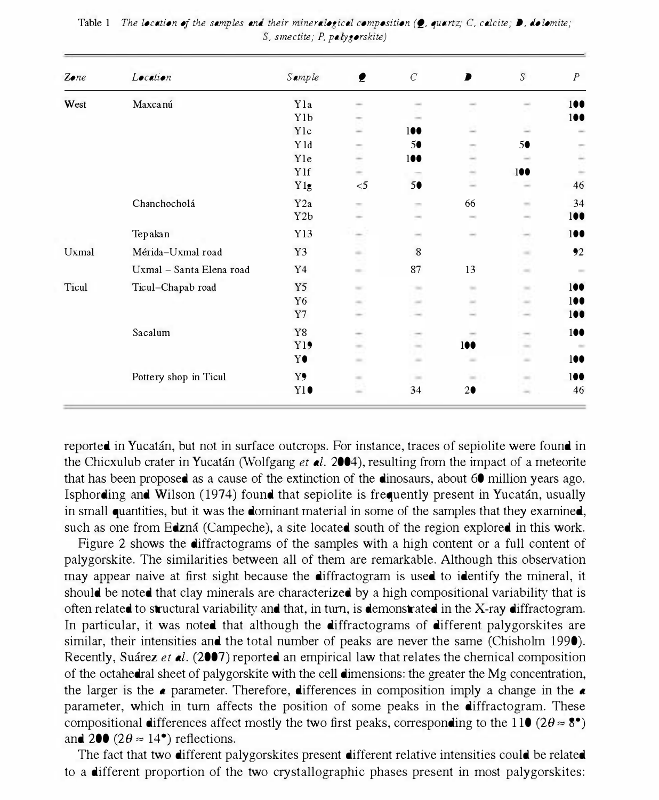| Zone  | Location                 | Sample           | $\bullet$                                                                                                                 | $\cal C$ | D             | S                                                                                              | $\overline{P}$ |
|-------|--------------------------|------------------|---------------------------------------------------------------------------------------------------------------------------|----------|---------------|------------------------------------------------------------------------------------------------|----------------|
| West  | Maxcanú                  | Y <sub>1</sub> a |                                                                                                                           |          |               |                                                                                                | 100            |
|       |                          | Y <sub>1</sub> b |                                                                                                                           |          |               |                                                                                                | 100            |
|       |                          | Ylc              |                                                                                                                           | 100      |               |                                                                                                |                |
|       |                          | Y1d              |                                                                                                                           | 5●       |               | 5●                                                                                             |                |
|       |                          | Yle              |                                                                                                                           | 100      |               |                                                                                                |                |
|       |                          | Y1f              |                                                                                                                           |          | $\rightarrow$ | 100                                                                                            |                |
|       |                          | Y1g              | $<$ 5                                                                                                                     | 5●       | $\sim$        | $\sim$                                                                                         | 46             |
|       | Chanchocholá             | Y2a              | $\sim$                                                                                                                    | $\sim$   | 66            | $\sim$                                                                                         | 34             |
|       |                          | Y <sub>2</sub> b |                                                                                                                           |          |               | $\sim$                                                                                         | 100            |
|       | Tepakan                  | Y13              |                                                                                                                           |          |               | $\frac{1}{2} \left( \frac{1}{2} \right) \left( \frac{1}{2} \right) \left( \frac{1}{2} \right)$ | 100            |
| Uxmal | Mérida-Uxmal road        | Y3               | ÷                                                                                                                         | 8        |               | $\frac{1}{2} \left( \frac{1}{2} \right)^2$                                                     | 92             |
|       | Uxmal - Santa Elena road | Y <sub>4</sub>   | $\frac{1}{2} \left( \frac{1}{2} \right) \left( \frac{1}{2} \right) \left( \frac{1}{2} \right) \left( \frac{1}{2} \right)$ | 87       | 13            | $\frac{1}{2} \left( \frac{1}{2} \right) \left( \frac{1}{2} \right) \left( \frac{1}{2} \right)$ | $\sim$         |
| Ticul | Ticul-Chapab road        | Y5               | $\sim$                                                                                                                    | $\sim$   | $\sim$        | $\frac{1}{2} \left( \frac{1}{2} \right)^2$                                                     | 100            |
|       |                          | Y6               | $\frac{1}{2} \left( \frac{1}{2} \right) \left( \frac{1}{2} \right) \left( \frac{1}{2} \right)$                            |          | $\sim$        | $\sim$                                                                                         | 100            |
|       |                          | Y7               |                                                                                                                           |          | $\rightarrow$ | $\sim$                                                                                         | 100            |
|       | Sacalum                  | Y8               | $\frac{1}{2}$                                                                                                             |          |               |                                                                                                | 100            |
|       |                          | Y19              | $\sim$                                                                                                                    | $\sim$   | 100           | $\sim$                                                                                         | $\sim$         |
|       |                          | Y●               | $\sim$                                                                                                                    | $\sim$   | $\sim$        | $\sim$                                                                                         | 100            |
|       | Pottery shop in Ticul    | Y9               | $\sim$                                                                                                                    | $\sim$   | $\sim$        | $\sim$                                                                                         | 100            |
|       |                          | Y10              | $\frac{1}{2} \left( \frac{1}{2} \right)^2 + \frac{1}{2} \left( \frac{1}{2} \right)^2$                                     | 34       | 20            |                                                                                                | 46             |

Table 1 The location of the samples and their mineralogical composition  $(0,$  quartz; C, calcite;  $\triangleright$ , dolomite;  $S$ , smectite; P, palygorskite)

reported in Yucatán, but not in surface outcrops. For instance, traces of sepiolite were found in the Chicxulub crater in Yucatán (Wolfgang et al. 2004), resulting from the impact of a meteorite that has been proposed as a cause of the extinction of the dinosaurs, about 60 million years ago. Isphording and Wilson (1974) found that sepiolite is frequently present in Yucatan, usually in small quantities, but it was the dominant material in some of the samples that they examined, such as one from Edzna (Campeche), a site located south of the region explored in this work.

Figure 2 shows the diffractograms of the samples with a high content or a full content of palygorskite. The similarities between all of them are remarkable. Although this observation may appear naive at first sight because the diffractogram is used to identify the mineral, it should be noted that clay minerals are characterized by a high compositional variability that is often related to structural variability aud that, in turn, is demonstrated in the X-ray diffractogram. In particular, it was noted that although the diffractograms of different palygorskites are similar, their intensities and the total number of peaks are never the same (Chisholm 1990). Recently, Suarez et al. (2007) reported an empirical law that relates the chemical composition of the octahedral sheet of palygorskite with the cell dimensions: the greater the Mg concentration, the larger is the  $\alpha$  parameter. Therefore, differences in composition imply a change in the  $\alpha$ parameter, which in turn affects the position of some peaks in the diffractogram. These compositional differences affect mostly the two first peaks, corresponding to the 110 ( $2\theta \approx 8^{\circ}$ ) and 200 (2 $\theta \approx 14^{\circ}$ ) reflections.

The fact that two different palygorskites present different relative intensities could be related to a different proportion of the two crystallographic phases present in most palygorskites: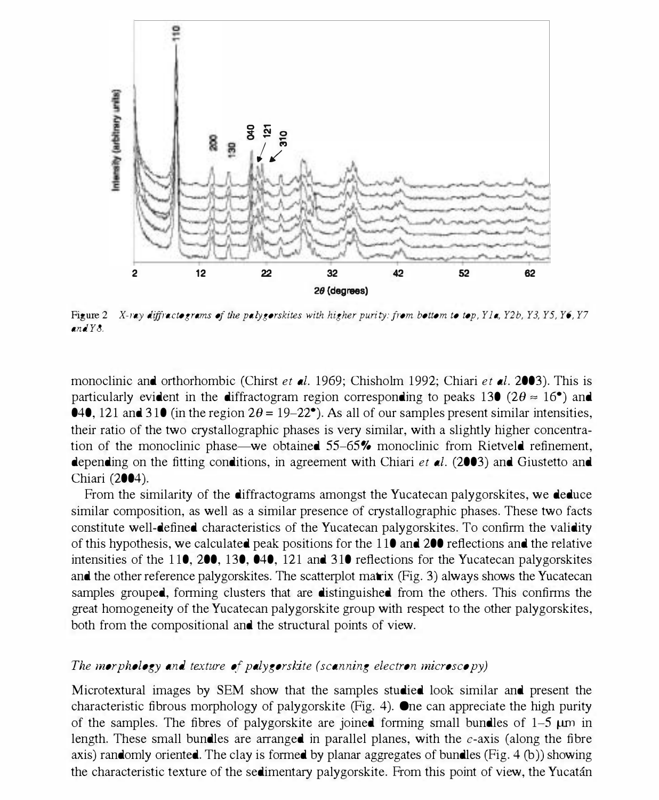

Figure 2 X-ray diffractograms of the palygorskites with higher purity: from bottom to top, Y1a, Y2b, Y3, Y5, Y6, Y7 andY8.

monoclinic and orthorhombic (Chirst et al. 1969; Chisholm 1992; Chiari et al. 2003). This is particularly evident in the diffractogram region corresponding to peaks 130 ( $2\theta \approx 16^{\circ}$ ) and **040,** 121 and 310 (in the region  $2\theta = 19-22^{\circ}$ ). As all of our samples present similar intensities, their ratio of the two crystallographic phases is very similar, with a slightly higher concentration of the monoclinic phase—we obtained 55–65% monoclinic from Rietveld refinement, depending on the fitting conditions, in agreement with Chiari *et al.* (2003) and Giustetto and Chiari (2004).

From the similarity of the diffractograms amongst the Yucatecan palygorskites, we deduce similar composition, as well as a similar presence of crystallographic phases. These two facts constitute well-defined characteristics of the Yucatecan palygorskites. To confirm the validity of this hypothesis, we calculated peak positions for the 110 and 200 reflections and the relative intensities of the 110, 200, 130, 040, 121 and 310 reflections for the Yucatecan palygorskites and the other reference palygorskites. The scatterplot matrix (Fig. 3) always shows the Yucatecan samples grouped, fonning clusters that are distinguished from the others. This confinns the great homogeneity of the Yucatecan palygorskite group with respect to the other palygorskites, both from the compositional and the structural points of view.

# The morphology and texture of palygorskite (scanning electron microscopy)

Microtextural images by SEM show that the samples studied look similar and present the characteristic fibrous morphology of palygorskite (Fig. 4). One can appreciate the high purity of the samples. The fibres of palygorskite are joined forming small bundles of  $1-5 \mu m$  in length. These small bundles are arranged in parallel planes, with the  $c$ -axis (along the fibre axis) randomly oriented. The clay is formed by planar aggregates of bundles (Fig. 4 (b)) showing the characteristic texture of the sedimentary palygorskite. From this point of view, the Yucatan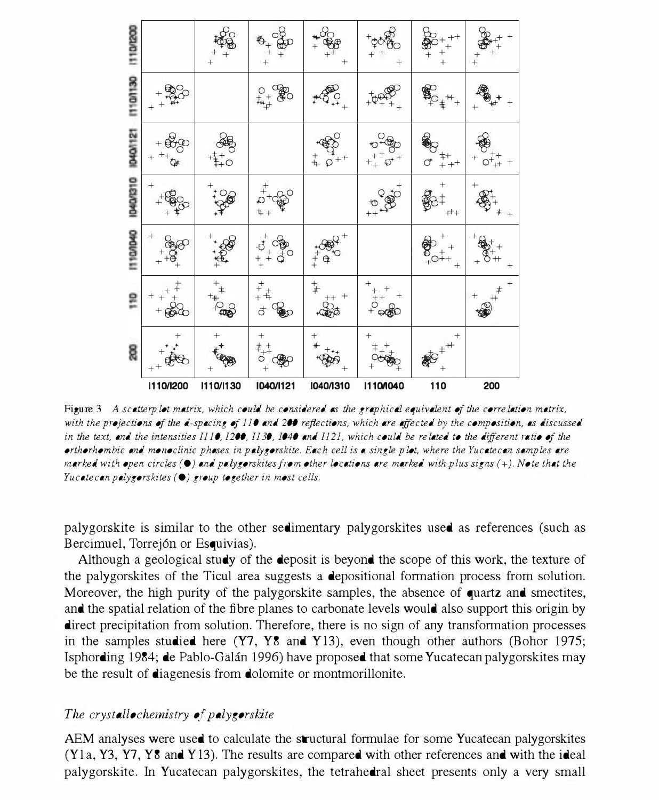| 110/200<br>e<br>+<br>$^{+}$<br>110/130<br>$^{0}_{+}$ $^{0}_{+}$ $^{0}_{00}$<br>$\sum_{+1}^{20}$<br>$\bigotimes_{t=+}^{\infty}$<br>P<br><b>D40/121</b><br>$+\frac{1}{2}$<br>.<br>D<br>$+\frac{1}{2}$<br>$_{++}^{\ddag +}$<br>$+\frac{1}{2}+\frac{1}{2}$<br>$\sigma$<br>040/310<br>$+\frac{6}{100}$<br>$5 + 20$<br>$^{++}$<br><b>IT100040</b><br>$+5+00$<br>1807<br>$\frac{1}{10}$<br>$^{+}_{+}$ $\oplus$<br>$^+$<br>$\frac{+}{0}$<br>g<br>$^{+}$<br>$^{+}$<br>$+^{+}$<br>8 | 110/1200 | 1110/1130 | 1040/1121       | 1040/1310     | 1110/040 | 110 | 200       |
|---------------------------------------------------------------------------------------------------------------------------------------------------------------------------------------------------------------------------------------------------------------------------------------------------------------------------------------------------------------------------------------------------------------------------------------------------------------------------|----------|-----------|-----------------|---------------|----------|-----|-----------|
|                                                                                                                                                                                                                                                                                                                                                                                                                                                                           |          |           |                 |               |          |     |           |
|                                                                                                                                                                                                                                                                                                                                                                                                                                                                           |          |           |                 |               |          |     |           |
|                                                                                                                                                                                                                                                                                                                                                                                                                                                                           |          |           |                 |               |          |     |           |
|                                                                                                                                                                                                                                                                                                                                                                                                                                                                           |          |           |                 |               |          |     |           |
|                                                                                                                                                                                                                                                                                                                                                                                                                                                                           |          |           |                 |               |          |     | -++<br>++ |
|                                                                                                                                                                                                                                                                                                                                                                                                                                                                           |          |           |                 |               |          |     |           |
|                                                                                                                                                                                                                                                                                                                                                                                                                                                                           |          |           | $-\frac{6}{90}$ | $\frac{1}{2}$ |          |     |           |

Figure 3 A scatterplot matrix, which could be considered as the graphical equivalent of the correlation matrix, with the projections of the d-spacing of 110 and 200 reflections, which are affected by the composition, as discussed in the text, and the intensities  $II10$ , 1200,  $II30$ , 1040 and  $II21$ , which could be related to the different ratio of the orthorhombic and morwclinic phases in palygorskite. Each cell is a single plot, where the Yucatecan samples are marked with open circles (0) and pa lygorskites from other locations are marked with plus signs (+). Note that the Yucatecan palygorskites  $(①)$  group together in most cells.

palygorskite is similar to the other sedimentary palygorskites used as references (such as Bercimuel, Torrej6n or Esquivias).

Although a geological study of the deposit is beyond the scope of this work, the texture of the palygorskites of the Ticul area suggests a depositional fonnation process from solution. Moreover, the high purity of the palygorskite samples, the absence of quartz and smectites, and the spatial relation of the fibre planes to carbonate levels would also support this origin by direct precipitation from solution. Therefore, there is no sign of any transformation processes in the samples studied here (Y7, Y8 and Y I3), even though other authors (Bohor 1975; Isphording 1984; de Pablo-Galan 1996) have proposed that some Yucatecan palygorskites may be the result of diagenesis from dolomite or montmorillonite.

## The crystallochemistry of palygorskite

AEM analyses were used to calculate the structural formulae for some Yucatecan palygorskites (Y l a, Y3, Y7, Y8 and Y I3). The results are compared with other references and with the ideal palygorskite. In Yucatecan palygorskites, the tetrahedral sheet presents only a very small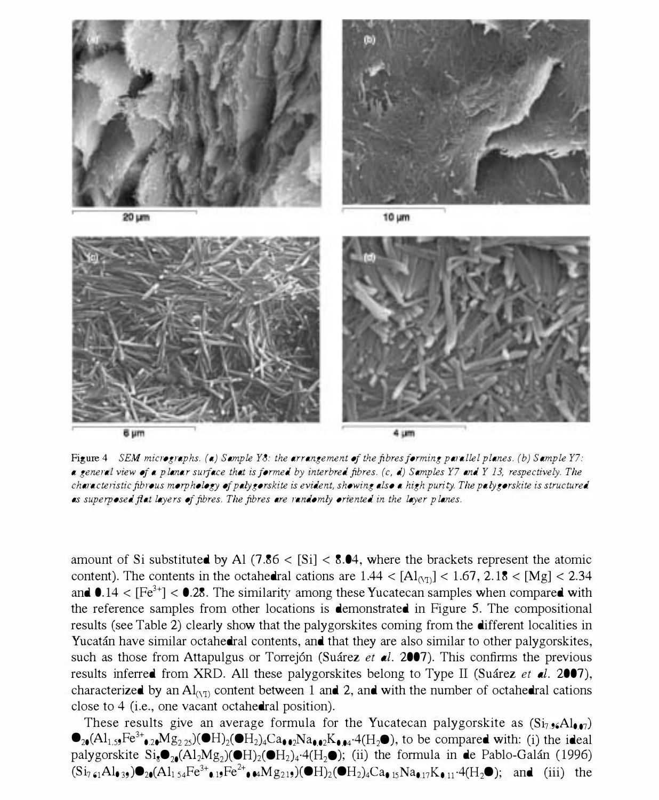

Figure 4 SEM micrographs. (a) Sample Y8: the arrangement of the fibres forming parallel planes. (b) Sample Y7: a general view of a planar surface that is formed by interbred fibres.  $(c, d)$  Samples Y7 and Y 13, respectively. The characteristic fibrous morphology of palygorskite is evident, showing also a high purity. The palygorskite is structured as superposed fiat layers of fibres. The fibres are randomly oriented in the layer planes.

amount of Si substituted by Al (7.86  $\lt$  [Si]  $\lt$  8.04, where the brackets represent the atomic content). The contents in the octahedral cations are  $1.44 < [Al_{(1)}] < 1.67$ ,  $2.18 < [Mg] < 2.34$ and  $0.14 < [Fe<sup>3+</sup>] < 0.28$ . The similarity among these Yucatecan samples when compared with the reference samples from other locations is demonstrated in Figure 5. The compositional results (see Table 2) clearly show that the palygorskites coming from the different localities in Yucatán have similar octahedral contents, and that they are also similar to other palygorskites, such as those from Attapulgus or Torrejón (Suárez et al. 2007). This confirms the previous results inferred from XRD. All these palygorskites belong to Type II (Suárez et al. 2007), characterized by an  $\text{Al}_{(VI)}$  content between 1 and 2, and with the number of octahedral cations close to 4 (i.e., one vacant octahedral position).

These results give an average formula for the Yucatecan palygorskite as  $(S_i, \bullet \epsilon A | \bullet \bullet \tau)$  $\bullet_{20} (Al_{1.59}Fe^{3+}_{\bullet 20}M_{\rm Z225})(\bullet H)_{2}(\bullet H_{2})_{4}Ca_{\bullet 02}Na_{\bullet 02}K_{\bullet, 04}$ <sup>-4</sup>(H<sub>2</sub> $\bullet$ ), to be compared with: (i) the ideal palygorskite  $Si_8\bullet_{20}(Al_2Mg_2)(\bullet H_2)_4\cdot4(H_2\bullet);$  (ii) the formula in de Pablo-Galán (1996)  $(Si_7, A1_{\bullet,3})\bullet_{2\bullet}(A1_{1.54}Fe^{3+}\bullet_{19}Fe^{2+}\bullet_{\bullet}\bullet_{\bullet}\bullet_{18}g_{21})\bullet H_{2}(OH_{2})_4Ca_{\bullet,15}Na_{\bullet,17}K_{\bullet,11}\cdot 4(H_2\bullet);$  and (iii) the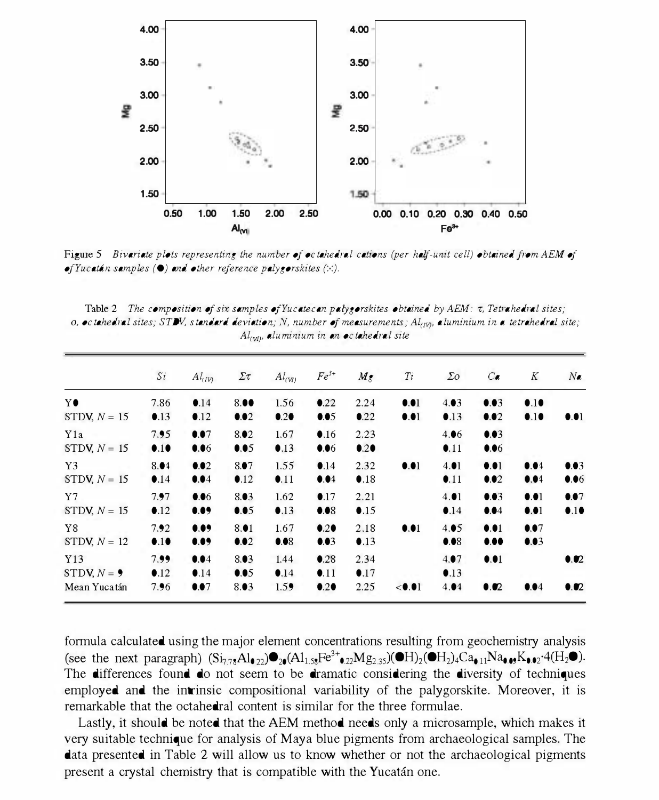

Figure 5 Bivariate plots representing the number of octahedral cations (per half-unit cell) obtained from AEM of of Yucatán samples  $\Theta$  and other reference palygorskites  $(x)$ .

Table 2 The composition of six samples of Yucatecan palygorskites obtained by  $AEM$ :  $\tau$ , Tetrahedral sites; 0, octahedral sites; STDV, standard deviation; N, number of measurements;  $Al_{U}$ , aluminium in a tetrahedral site;  $Al_{\left( \mathit{vl}\right) }$ , aluminium in an octahedral site

|                | Si            | $Al_{UV}$     | Στ            | $Al_{(VI)}$ | $Fe^{3+}$     | $M_{\tilde{z}}$ | Ti     | $\Sigma$ o    | $C_{\bullet}$ | K    | $N_{\bullet}$ |
|----------------|---------------|---------------|---------------|-------------|---------------|-----------------|--------|---------------|---------------|------|---------------|
| Y●             | 7.86          | $\bullet$ .14 | 8.00          | 1.56        | $\bullet$ .22 | 2.24            | 0.01   | 4.03          | 0.03          | 0.10 |               |
| STDV, $N = 15$ | $\bullet$ .13 | $\bullet$ .12 | 0.02          | 0.20        | 0.05          | $\bullet$ .22   | 0.01   | $\bullet$ .13 | 0.02          | 0.10 | 0.01          |
| Yla            | 7.95          | 0.07          | 8.02          | 1.67        | $\bullet$ .16 | 2.23            |        | 4.06          | 0.03          |      |               |
| STDV, $N = 15$ | 0.10          | 0.06          | 0.05          | 0.13        | 0.06          | 0.20            |        | 0.11          | 0.06          |      |               |
| Y3             | 8.04          | 0.02          | 8.07          | 1.55        | $\bullet$ .14 | 2.32            | 0.01   | 4.01          | 0.01          | 0.04 | 0.03          |
| STDV, $N = 15$ | 0.14          | 0.04          | $\bullet$ .12 | 0.11        | 0.04          | $\bullet$ .18   |        | 0.11          | 0.02          | 0.04 | 0.06          |
| Y7             | 7.97          | 0.06          | 8.03          | 1.62        | 0.17          | 2.21            |        | 4.01          | 0.03          | 0.01 | 0.07          |
| STDV, $N = 15$ | $\bullet$ .12 | 0.09          | 0.05          | 0.13        | 0.08          | 0.15            |        | $\bullet$ .14 | 0.04          | 0.01 | 0.10          |
| Y8             | 7.92          | 0.09          | 8.01          | 1.67        | 0.20          | 2.18            | 0.01   | 4.05          | 0.01          | 0.07 |               |
| STDV, $N = 12$ | 0.10          | 0.09          | 0.02          | 0.08        | 0.03          | $\bullet$ .13   |        | 0.08          | 0.00          | 0.03 |               |
| Y13            | 7.99          | 0.04          | 8.03          | 1.44        | 0.28          | 2.34            |        | 4.07          | 0.01          |      | 0.02          |
| STDV, $N = 9$  | $\bullet$ .12 | $\bullet$ .14 | 0.05          | 0.14        | 0.11          | 0.17            |        | $\bullet$ .13 |               |      |               |
| Mean Yucatán   | 7.96          | 0.07          | 8.03          | 1.59        | 0.20          | 2.25            | < 0.01 | 4.04          | $\bullet$ .02 | 0.04 | $\bullet$ .02 |

fonnula calculated using the major element concentrations resulting from geochemistry analysis (see the next paragraph)  $(Si_{7.78}Al_{\bullet,22})\bullet_{20}(Al_{1.58}Fe^{3+}\bullet_{22}Mg_{2.35})(\bullet H_{2})(\bullet H_{2})_4Ca_{\bullet,11}Na_{\bullet,03}K_{\bullet,02}A(H_{2}\bullet).$ The differences found do not seem to be dramatic considering the diversity of techniques employed and the intrinsic compositional variability of the palygorskite. Moreover, it is remarkable that the octahedral content is similar for the three formulae.

Lastly. it should be noted that the AEM method needs only a microsample. which makes it very suitable technique for analysis of Maya blue pigments from archaeological samples. The data presented in Table 2 will allow us to know whether or not the archaeological pigments present a crystal chemistry that is compatible with the Yucatan one.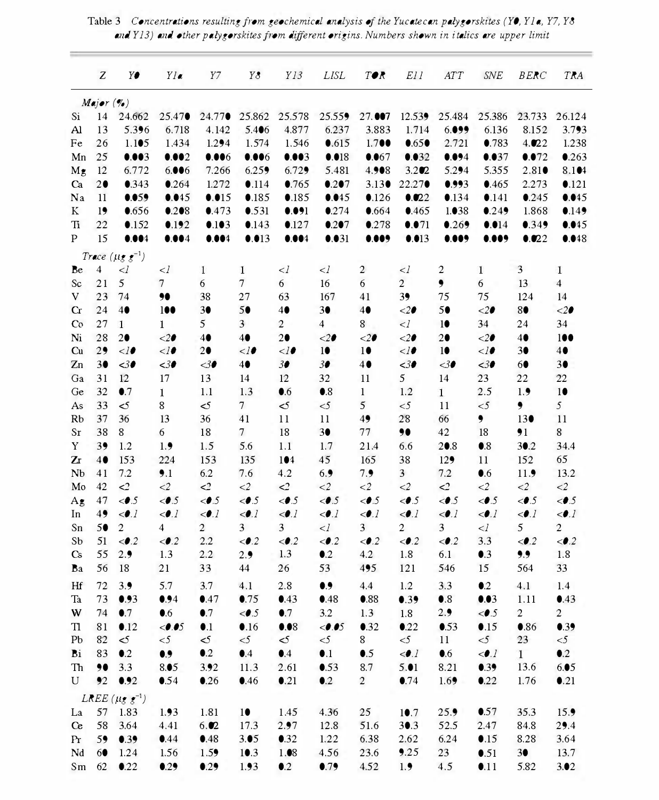|                  | Z              | Y€                               | Yla                          | Y7                           | Y8                | Y13                          | LISL                         | T●R                          | E11                          | ATT                          | SNE                          | <b>BERC</b>                  | TRA                          |
|------------------|----------------|----------------------------------|------------------------------|------------------------------|-------------------|------------------------------|------------------------------|------------------------------|------------------------------|------------------------------|------------------------------|------------------------------|------------------------------|
|                  | $M$ ajor $(\%$ |                                  |                              |                              |                   |                              |                              |                              |                              |                              |                              |                              |                              |
| Si               | 14             | 24.662                           | 25.47●                       | 24.77●                       | 25.862            | 25.578                       | 25.559                       | 27.007                       | 12.539                       | 25.484                       | 25.386                       | 23.733                       | 26.124                       |
| Al               | 13             | 5.396                            | 6.718                        | 4.142                        | 5.406             | 4.877                        | 6.237                        | 3.883                        | 1.714                        | 6.099                        | 6.136                        | 8.152                        | 3.793                        |
| Fe               | 26             | 1.105                            | 1.434                        | 1.294                        | 1.574             | 1.546                        | 0.615                        | 1.700                        | 0.650                        | 2.721                        | 0.783                        | 4.022                        | 1.238                        |
| Mn               | 25             | 0.003                            | 0.002                        | 0.006                        | 0.006             | 0.003                        | 0.018                        | 0.067                        | 0.032                        | 0.094                        | 0.037                        | 0.072                        | 0.263                        |
| Mg               | 12             | 6.772                            | 6.006                        | 7.266                        | 6.259             | 6.729                        | 5.481                        | 4.908                        | 3.202                        | 5.294                        | 5.355                        | 2.810                        | 8.104                        |
| Ca               | 20             | 0.343                            | 0.264                        | 1.272                        | 0.114             | 0.765                        | 0.207                        | 3.130                        | 22.27●                       | 0.993                        | 0.465                        | 2.273                        | 0.121                        |
| Na               | 11             | 0.059                            | 0.045                        | 0.015                        | 0.185             | 0.185                        | 0.045                        | 0.126                        | 0.022                        | 0.134                        | $\bullet$ .141               | 0.245                        | 0.045                        |
| K                | 19             | 0.656                            | 0.208                        | 0.473                        | 0.531             | 0.091                        | 0.274                        | 0.664                        | 0.465                        | 1.038                        | 0.249                        | 1.868                        | 0.149                        |
| Ti               | 22             | 0.152                            | 0.192                        | 0.103                        | 0.143             | $\bullet$ .127               | 0.207                        | 0.278                        | 0.071                        | 0.269                        | 0.014                        | 0.349                        | 0.045                        |
| P                | 15             | 0.004                            | 0.004                        | 0.004                        | 0.013             | 0.004                        | 0.031                        | 0.009                        | 0.013                        | 0.009                        | 0.009                        | 0.022                        | 0.048                        |
|                  |                | Trace $(\mu g g^{-1})$           |                              |                              |                   |                              |                              |                              |                              |                              |                              |                              |                              |
| Be               | 4              | $\lhd$                           | $\leq l$                     | 1                            | 1                 | $\leq l$                     | $\leq l$                     | 2                            | $\leq l$                     | 2                            | 1                            | 3                            | 1                            |
| Sc               | 21             | 5                                | $\overline{7}$               | 6                            | $\tau$            | 6                            | 16                           | 6                            | $\overline{c}$               | ۰                            | 6                            | 13                           | 4                            |
| V                | 23             | 74                               | 90                           | 38                           | 27                | 63                           | 167                          | 41                           | 39                           | 75                           | 75                           | 124                          | 14                           |
| $\alpha$         | 24             | 40                               | 100                          | 30                           | 50                | 40                           | 30                           | 40                           | $20$                         | 50                           | $\leq$ 20                    | 8●                           | $\leq$ 20                    |
| Co               | 27             | 1                                | 1                            | 5                            | 3                 | 2                            | 4                            | 8                            | $\leq l$                     | 10                           | 34                           | 24                           | 34                           |
| Ni               | 28             | 20                               | $20$                         | 4●                           | 4●                | 20                           | $\leq$ 20                    | $20$                         | $20$                         | 20                           | $\langle 20$                 | 4●                           | 100                          |
| Cu               | 29             | $\langle$ l $\bullet$            | $\mathord{<} l$ 0            | 20                           | $\mathord{<} l$ 0 | <10                          | 10                           | 10                           | $\langle$ l $\bullet$        | 10                           | $\langle$ l $\bullet$        | 30                           | 4●                           |
| Zn               | 30             | $30$                             | <30                          | $30$                         | 40                | 30                           | 30                           | 4●                           | $30$                         | <30                          | $30$                         | 60                           | 3●                           |
| Ga               | 31             | 12                               | 17                           | 13                           | 14                | 12                           | 32                           | 11                           | 5                            | 14                           | 23                           | 22                           | 22                           |
| Ge               | 32             | $\bullet$ .7                     | 1                            | 1.1                          | 1.3               | $\bullet$ .6                 | $\bullet$ .8                 | 1                            | 1.2                          | 1                            | 2.5                          | 1.9                          | 10                           |
| As               | 33             | $\leq$                           | 8                            | $\leq$                       | 7                 | $\leq$                       | $<$ 5                        | 5                            | $\leq$ 5                     | 11                           | $\leq$ 5                     | ۰                            | 5                            |
| Rb               | 37             | 36                               | 13                           | 36                           | 41                | 11                           | 11                           | 49                           | 28                           | 66                           | ,                            | 130                          | 11                           |
| Sr               | 38             | 8                                | 6                            | 18                           | 7                 | 18                           | 30                           | 77                           | 90                           | 42                           | 18                           | $\bullet$ 1                  | 8                            |
| Y                | 39             | 1.2                              | 1.9                          | 1.5                          | 5.6               | 1.1                          | 1.7                          | 21.4                         | 6.6                          | 20.8                         | $\bullet$ .8                 | 30.2                         | 34.4                         |
| Zr               | 4●             | 153                              | 224                          | 153                          | 135               | 104                          | 45                           | 165                          | 38                           | 129                          | 11                           | 152                          | 65                           |
| Nb               | 41             | 7.2                              | 9.1                          | 6.2                          | 7.6               | 4.2                          | 6.9                          | 7.9                          | 3                            | 7.2                          | $\bullet$ .6                 | 11.9                         | 13.2                         |
| Mo               | 42             | $\mathcal{L}$                    | $\leq$ 2                     | $\leq$                       | $\leq$ 2          | $\leq$                       | $\leq$ 2                     | $\leq$ 2                     | $\leq$ 2                     | $\leq$                       | $\langle 2$                  | $\leq$ 2                     | $\leq$ 2                     |
| $A_{\mathbf{g}}$ | 47             | $\langle \bullet, 5 \rangle$     | $\langle 0.5$                | $\langle \bullet, 5$         | < 2.5             | $\langle \bullet, 5 \rangle$ | $\langle 0.5$                | $\langle \bullet, 5 \rangle$ | < 0.5                        | $\langle 0.5$                | $\langle 0.5$                | $\langle 0.5$                | $\langle \bullet.5$          |
| In               | 49             | $\langle \bullet, I \rangle$     | $\langle \bullet, I \rangle$ | $\langle \bullet, I \rangle$ | $\langle 0.1$     | $\langle \bullet \rangle$    | $\langle \bullet, I \rangle$ | $\langle \bullet, I$         | $\langle 0.1$                | $\langle \bullet, I \rangle$ | $\langle 0.1$                | $\langle \bullet, I \rangle$ | $\langle \bullet, I \rangle$ |
| Sn               | 50             | $\overline{c}$                   | 4                            | $\overline{c}$               | 3                 | 3                            | $\langle$                    | 3                            | 2                            | 3                            | $<\!l$                       | 5                            | 2                            |
| Sb               | 51             | $<$ 0.2                          | $<$ .2                       | 2.2                          | $<$ .2            | $<$ 0.2                      | $<$ .2                       | $<$ .2                       | $<$ .2                       | $<$ .2                       | 3.3                          | $<$ .2                       | $<$ .2                       |
| Cs               | 55             | 2.9                              | 1.3                          | 2.2                          | 2.9               | 1.3                          | $\bullet$ .2                 | 4.2                          | 1.8                          | 6.1                          | $\bullet$ .3                 | 9.9                          | 1.8                          |
| Ba               | 56             | 18                               | 21                           | 33                           | 44                | 26                           | 53                           | 495                          | 121                          | 546                          | 15                           | 564                          | 33                           |
| Hf               | 72             | 3.9                              | 5.7                          | 3.7                          | 4.1               | 2.8                          | $\bullet$                    | 4.4                          | 1.2                          | 3.3                          | $\bullet$ .2                 | 4.1                          | 1.4                          |
| Ta               | 73             | 0.93                             | 0.94                         | 0.47                         | 0.75              | 0.43                         | 0.48                         | •.88                         | 0.39                         | $\bullet$ .8                 | 0.03                         | 1.11                         | 0.43                         |
| W                | 74             | $\bullet$ .7                     | $\bullet$ .6                 | $\bullet$ .7                 | $\langle 0.5$     | $\bullet$ .7                 | 3.2                          | 1.3                          | 1.8                          | 2.9                          | $\langle 0.5$                | 2                            | 2                            |
| Tl               | 81             | 0.12                             | < 0.05                       | $\bullet$ .1                 | 0.16              | 0.08                         | < 0.05                       | $\bullet$ 32                 | $\bullet$ .22                | 0.53                         | 0.15                         | $\bullet$ .86                | 0.39                         |
| Pb               | 82             | $\leq$                           | $<$ 5                        | $\leq$                       | $<$ 5             | $\leq$                       | $<$ 5                        | 8                            | $\leq$ 5                     | 11                           | $\leq$ 5                     | 23                           | $\leq$ 5                     |
| Bi               | 83             | $\bullet$ .2                     | $\bullet$ .,                 | $\bullet$ .2                 | $\bullet$ .4      | $\bullet$ .4                 | $\bullet$ .1                 | $\bullet$ .5                 | $\langle \bullet, I \rangle$ | $\bullet$ .6                 | $\langle \bullet, I \rangle$ | $\mathbf{1}$                 | $\bullet$ .2                 |
|                  |                | Th 90 3.3                        | 8.05                         | 3.92                         | 11.3              | 2.61                         | 0.53                         | 8.7                          | 5.01                         | 8.21                         | 0.39                         | 13.6                         | 6.05                         |
| U                |                | 92 0.92                          | 0.54                         | 0.26                         | 0.46              | $\bullet$ .21                | $\bullet$ .2                 | $\overline{c}$               | 0.74                         | 1.69                         | 0.22                         | 1.76                         | 0.21                         |
|                  |                | LREE ( $\mu$ g g <sup>-1</sup> ) |                              |                              |                   |                              |                              |                              |                              |                              |                              |                              |                              |
| La               |                | 57 1.83                          | 1.93                         | 1.81                         | 10                | 1.45                         | 4.36                         | 25                           | 10.7                         | 25.9                         | 0.57                         | 35.3                         | 15.9                         |
| Ce               |                | 58 3.64                          | 4.41                         | 6.02                         | 17.3              | 2.97                         | 12.8                         | 51.6                         | 30.3                         | 52.5                         | 2.47                         | 84.8                         | 29.4                         |
| Pr               |                | 59 0.39                          | 0.44                         | 0.48                         | 3.05              | 0.32                         | 1.22                         | 6.38                         | 2.62                         | 6.24                         | 0.15                         | 8.28                         | 3.64                         |
| Nd               | 60             | 1.24                             | 1.56                         | 1.59                         | 10.3              | 1.08                         | 4.56                         | 23.6                         | 9.25                         | 23                           | 0.51                         | 30                           | 13.7                         |
| Sm               |                | 62 0.22                          | 0.29                         | 0.29                         | 1.93              | $\bullet$ .2                 | 0.79                         | 4.52                         | 1.9                          | 4.5                          | 0.11                         | 5.82                         | 3.02                         |
|                  |                |                                  |                              |                              |                   |                              |                              |                              |                              |                              |                              |                              |                              |

Table 3 Concentrations resulting from geochemical analysis of the Yucatecan palygorskites (YO, Y1a, Y7, Y8 and Y13) and other palygorskites from different origins. Numbers shown in italics are upper limit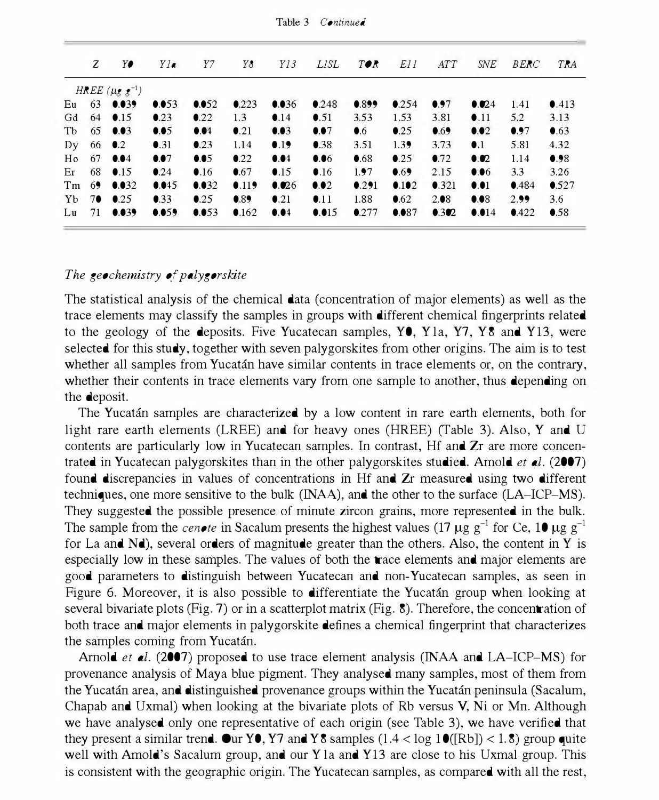| Z | Y∙                                    | $YI$ a        | Y7            | Y8             | Y13           | LISL          | $T \bullet K$ | E11           | ATT           | SNE                     | <b>BERC</b> | TRA           |
|---|---------------------------------------|---------------|---------------|----------------|---------------|---------------|---------------|---------------|---------------|-------------------------|-------------|---------------|
|   | HREE $(\mu_{\mathcal{E}} \star^{-1})$ |               |               |                |               |               |               |               |               |                         |             |               |
|   | Eu $63$ 0.039                         | 0.053         | 0.052         | 0.223          | 0.036         | 0.248         | 0.899         | 0.254         | 0.97          | 0.024                   | 1.41        | 0.413         |
|   | Gd $64$ 0.15                          | $\bullet$ .23 | $\bullet$ 22  | 1.3            | $\bullet$ .14 | $\bullet$ .51 | 3.53          | 1.53          | 3.81          | $\bullet$ .11           | 5.2         | 3.13          |
|   | Tb $65$ 0.03                          | 0.05          | 0.04          | $\bullet$ .21  | 0.03          | 0.07          | $\bullet$ .6  | $\bullet$ .25 | 0.69          | 0.02                    | 0.97        | 0.63          |
|   | Dy $66$ 0.2                           | $\bullet$ .31 | $\bullet$ .23 | 1.14           | 0.19          | $\bullet$ .38 | 3.51          | 1.39          | 3.73          | $\bullet$ .1            | 5.81        | 4.32          |
|   | Ho $67$ 0.04                          | 0.07          | 0.05          | $\bullet$ .22  | 0.04          | 0.06          | $\bullet$ .68 | 0.25          | $\bullet$ .72 | $\bullet$ .02           | 1.14        | 0.98          |
|   | Er $68 \t 0.15$                       | $\bullet$ 24  | $\bullet$ .16 | $\bullet$ .67  | 0.15          | $\bullet$ .16 | 1.97          | 0.69          | 2.15          | 0.06                    | 3.3         | 3.26          |
|   | Tm $69$ 0.032                         | 0.045         | 0.032         | 0.119          | 0.026         | 0.02          | 0.291         | 0.102         | 0.321         | $\bullet$ . $\bullet$ 1 | 0.484       | 0.527         |
|   | $Yb$ 70 0.25                          | $\bullet$ .33 | $\bullet$ 2.5 | 0.89           | $\bullet$ 21  | $\bullet$ .11 | 1.88          | $\bullet$ .62 | 2.08          | 0.08                    | 2.99        | 3.6           |
|   | Lu 71 $0.039$                         | 0.059         | 0.053         | $0.162$ $0.04$ |               | 0.015         | $\bullet$ 277 | 0.087         | 0.302         | $\bullet$ .014          | 0.422       | $\bullet$ .58 |
|   |                                       |               |               |                |               |               |               |               |               |                         |             |               |

Table 3 Continued

### The geochemistry of palygorskite

The statistical analysis of the chemical data (concentration of major elements) as well as the trace elements may classify the samples in groups with different chemical fingerprints related to the geology of the deposits. Five Yucatecan samples,  $Y\bullet$ , Y<sub>1a</sub>, Y<sub>7</sub>, Y<sub>8</sub> and Y<sub>13</sub>, were selected for this study, together with seven palygorskites from other origins. The aim is to test whether all samples from Yucatan have similar contents in trace elements or, on the contrary, whether their contents in trace elements vary from one sample to another, thus depending on the deposit.

The Yucatan samples are characterized by a low content in rare earth elements, both for light rare earth elements (LREE) and for heavy ones (HREE) (Table 3). Also, Y and U contents are particularly low in Yucatecan samples. In contrast, Hf and Zr are more concentrated in Yucatecan palygorskites than in the other palygorskites studied. Amold *et al.* (2007) found discrepancies in values of concentrations in Hf and Zr measured using two different techniques, one more sensitive to the bulk (INAA), and the other to the surface (LA-ICP-MS). They suggested the possible presence of minute zircon grains, more represented in the bulk. The sample from the *cenote* in Sacalum presents the highest values (17  $\mu$ g g<sup>-1</sup> for Ce, 10  $\mu$ g g<sup>-1</sup> for La and Nd), several orders of magnitude greater than the others. Also, the content in Y is especially low in these samples. The values of both the trace elements and major elements are good parameters to distinguish between Yucatecan and non-Yucatecan samples, as seen in Figure 6. Moreover, it is also possible to **differentiate the Yucatan group when** looking at several bivariate plots (Fig. 7) or in a scatterplot matrix (Fig.  $\delta$ ). Therefore, the concentration of both trace and major elements in palygorskite defines a chemical fingerprint that characterizes the samples coming from Yucatán.

Arnold *et al.* (2007) proposed to use trace element analysis (INAA and LA-ICP-MS) for provenance analysis of Maya blue pigment. They analysed many samples, most of them from the Yucatán area, and distinguished provenance groups within the Yucatán peninsula (Sacalum, Chapab and Uxmal) when looking at the bivariate plots of Rb versus V, Ni or Mn. Although we have analysed only one representative of each origin (see Table 3), we have verified that they present a similar trend. Our YO, Y7 and Y8 samples  $(1.4 < log 10/(Rb)) < 1.8$ ) group quite well with Amold's Sacalum group, and our Y la and Y13 are close to his Uxmal group. This is consistent with the geographic origin. The Yucatecan samples, as compared with all the rest,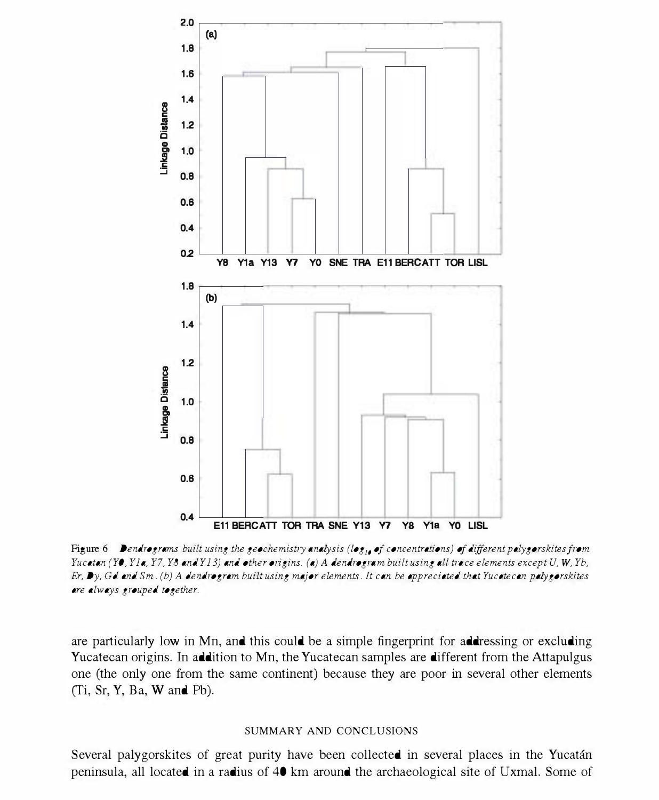

Figure 6 Dendrograms built using the geochemistry analysis (log<sub>1</sub>, of concentrations) of different palygorskites from Yucatan (YO, Yla, Y7, Y8 and Y13) and other origins. (a) A dendrogram built using all trace elements except  $U, W, Yb$ ,  $Er, Dy, Gd$  and  $Sm. (b)$  A dendrogram built using major elements. It can be appreciated that Yucatecan palygorskites are always grouped together.

are particularly low in Mn. and this could be a simple fingerprint for addressing or excluding Yucatecan origins. In addition to Mn. the Yucatecan samples are different from the Attapulgus one (the only one from the same continent) because they are poor in several other elements CTi. Sr. Y. Ba. W and Pb).

### SUMMARY AND CONCLUSIONS

Several palygorskites of great purity have been collected in several places in the Yucatan peninsula, all located in a radius of 40 km around the archaeological site of Uxmal. Some of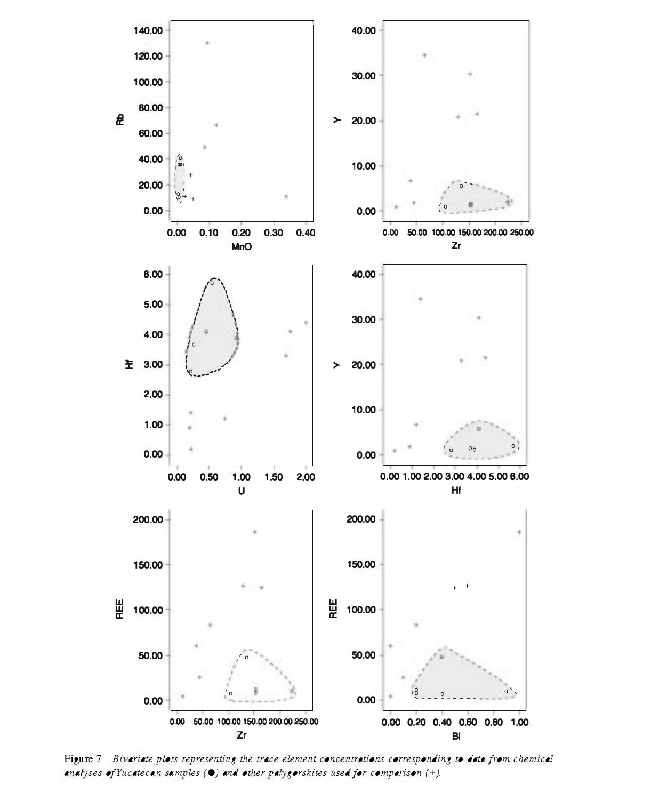

Figure 7 Bivariate plots representing the trace element concentrations corresponding to data from chemical analyses of Yucatecan samples ( $\bullet$ ) and other palygorskites used for comparison (+).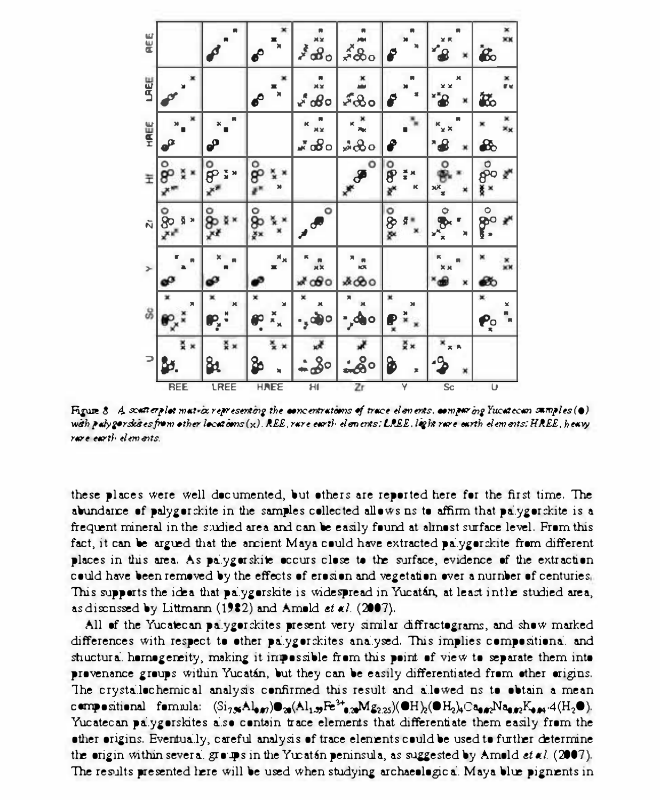| REE  |                        |             | $\boldsymbol{\epsilon}$      | $\boldsymbol{z}^{\boldsymbol{\xi}}$ o $\boldsymbol{\theta}$ o | ៹៓៓៓៝៰                     |              | $\mathbf{e}$ | $\mathbf{\dot{g}}$            |
|------|------------------------|-------------|------------------------------|---------------------------------------------------------------|----------------------------|--------------|--------------|-------------------------------|
| LAEE |                        |             | ×<br>$\boldsymbol{\epsilon}$ | နီထိဝ                                                         | ৵ড়৽                       |              |              | ×<br>re<br>砥                  |
| HAEE | $\boldsymbol{\varphi}$ | ₽           |                              | ax<br>൷ஂ                                                      | さやの                        |              |              | $\mathbf{g}_\text{c}$         |
| Ξ    | o<br>8                 | о<br>೯<br>š | နိ                           |                                                               | ٥<br>$\boldsymbol{\delta}$ | စို<br>ĸ     | о            | စိုဝ                          |
| ผี   | န္<br>Ħ<br>ā           | å           | ods                          | ۰                                                             |                            | <b>O</b> &&  | ¢<br>×       | $\overset{\circ}{\mathbf{P}}$ |
| $\,$ |                        |             | a,                           | കിറ                                                           | ю<br>ە&&                   |              |              | Ø                             |
| 8    | 角                      | M<br>P,     | ¥<br>$\frac{x}{n}$<br>ę      | $\cdot$ , $\circ$<br>$\circ$                                  | Л<br>$,$ do                | ×<br>××<br>ŗ |              | ×<br>×<br>$P_{0}$             |
|      |                        | န္          | 8                            | 30                                                            | <u>:80</u>                 | ğ×<br>₷<br>z |              |                               |

Figure  $8$  A souther plat matrix representing the concentrations of trace elements, comparing Yucatecan sumples ( $\bullet$ ) with puly geroles es from ether locations (x). REE, rare earth elements: LREE, light rare earth elements: HREE, heavy rage earth elements

these places were well documented, but others are reported here for the first time. The abundance of palygorckite in the samples collected allows us to affirm that palygorckite is a frequent mineral in the studied area and can be easily found at almost surface level. From this fact, it can be argued that the ancient Maya could have extracted palygorskite from different places in this area. As palygorskite occurs close to the surface, evidence of the extraction could have been removed by the effects of erosion and vegetation over a nurnber of centuries, This supports the idea that palygorskite is widespread in Yucatán, at least in the studied area, as discussed by Littmann (1982) and Ameld et al. (2007).

All of the Yucatecan palygorskites present very similar diffractograms, and show marked differences with respect to other palygorskites analysed. This implies compositional and stuctural hemogeneity, making it impossible from this point of view to separate them into provenance groups within Yucatán, but they can be easily differentiated from other origins. The crystallechemical analysis confirmed this result and allowed us to obtain a mean compositional formula:  $(S_{1,3}, A_{1,3}, B_{2,3}, A_{3,3}, A_{3,3}, A_{3,3}, A_{3,3}, A_{3,3}, A_{3,3}, A_{3,3}, A_{3,3}, A_{3,3}, A_{3,3}, A_{3,3}, A_{3,3}, A_{3,3}, A_{3,3}, A_{3,3}, A_{3,3}, A_{3,3}, A_{3,3}, A_{3,3}, A_{3,3}, A_{3,3}, A_{3,3}, A_{3,3}, A_{3,3}, A_{3,3}, A_{3,3}, A_{3,3}, A_{3,3}, A_{3,3}, A_{3,3$ Yucatecan palygorskites also contain trace elements that differentiate them easily from the other origins. Eventually, careful analysis of trace elements could be used to further determine the origin within several groups in the Yuratán peninsula, as suggested by Amold et al. (2007). The results presented here will be used when studying archaeological Maya blue pigments in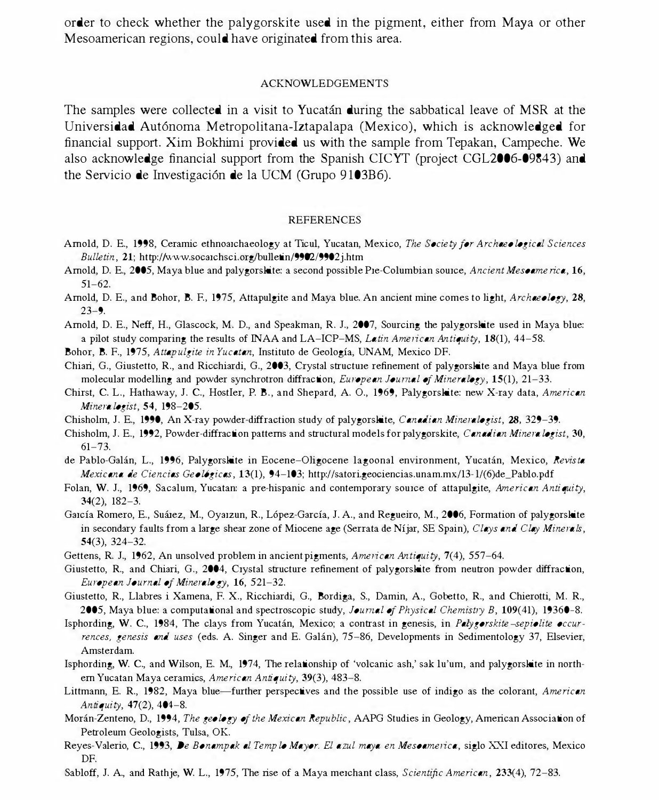order to check whether the palygorskite used in the pigment, either from Maya or other Mesoamerican regions, could have originated from this area.

#### ACKNOWLEDGEMENTS

The samples were collected in a visit to Yucatán during the sabbatical leave of MSR at the Universidad Aut6noma Metropolitana-Iztapalapa (Mexico), which is acknowledged for financial support. Xim Bokhirni provided us with the sample from Tepakan, Campeche. We also acknowledge financial support from the Spanish CICYT (project CGL2006-09843) and the Servicio de Investigaci6n de la UCM (Grupo 9103B6).

#### **REFERENCES**

- Amold, D. E., 1998, Ceramic ethnoarchaeology at Ticul, Yucatan, Mexico, The Society for Archaeological Sciences Bulletin, 21; http://www.socarchsci.org/bulletin/9902/9902j.htm
- Amold, D. E., 2005, Maya blue and palygorskite: a second possible Pre-Columbian source, Ancient Mesoamerica, 16, 51-62.
- Amold, D. E., and Bohor, B. F., 1975, Attapulgite and Maya blue. An ancient mine comes to light, Archaeology, 28,  $23 - 9$ .
- Amold, D. E., Neff, H., Glascock, M. D., and Speakman, R. J., 2007, Sourcing the palygorskite used in Maya blue: a pilot study comparing the results of INAA and LA-ICP-MS, *Latin American Antiquity*,  $18(1)$ ,  $44-58$ .
- Bohor, B. F., 1975, Attapulgite in Yucatan, Instituto de Geología, UNAM, Mexico DF.
- Chiari, G., Giustetto, R., and Ricchiardi, G., 2003, Crystal structure refinement of palygorskite and Maya blue from molecular modelling and powder synchrotron diffraction, European Journal of Mineralogy, 15(1), 21–33.
- Chirst, C. L., Hathaway, J. C., HostIer, P. B., and Shepard, A. O., 1969, Palygorskite: new X-ray data, American Mineralogist, 54, 198-205.
- Chisholm, J. E., 1990, An X-ray powder-diffraction study of palygorskite, Canadian Mineralogist, 28, 329-39.
- Chisholm, J. E., 1992, Powder-diffraction patterns and structural models for palygorskite, Canadian Mineralogist, 30,  $61 - 73.$
- de Pablo-Galán, L., 1996, Palygorskite in Eocene-Oligocene lagoonal environment, Yucatán, Mexico, Revista Mexicana de Ciencias Geo16gicas, 13(1), 94-103; http://satori.geociencias.unam.mx/13- l/(6)de\_Pablo.pdf
- Folan, W. J., 1969, Sacalum, Yucatan: a pre-hispanic and contemporary source of attapulgite, American Antiquity, 34(2), 182-3.
- García Romero, E., Suárez, M., Oyarzun, R., López-García, J. A., and Regueiro, M., 2006, Formation of palygorskite in secondary faults from a large shear zone of Miocene age (Serrata de Níjar, SE Spain), Clays and Clay Minerals, 54(3), 324-32.
- Gettens, R. J., 1962, An unsolved problem in ancient pigments, American Antiquity, 7(4), 557–64.
- Giustetto, R., and Chiari, G., 2004, Crystal structure refinement of palygorskite from neutron powder diffraction, European Journal of Mineralogy, 16, 521-32.
- Giustetto, R., Llabres i Xamena, F. x., Ricchiardi, G., Bordiga, S., Damin, A., Gobetto, R., and Chierotti, M. R., 2005, Maya blue: a computational and spectroscopic study, Journal of Physical Chemistry B, 109(41), 19360-8.
- Isphording, W. C., 1984, The clays from Yucatán, Mexico; a contrast in genesis, in Palygorskite-sepiolite occurrences, genesis and uses (eds. A. Singer and E. Galan), 75-86, Developments in Sedimentology 37, Elsevier, Amsterdam.
- Isphording, W. C, and Wilson, E. M., 1974, The relationship of 'volcanic ash,' sak lu'um, and palygorskite in northern Yucatan Maya ceramics, American Antiquity, 39(3), 483-8.
- Littmann, E. R., 1982, Maya blue-further perspectives and the possible use of indigo as the colorant, American Antiquity,  $47(2)$ ,  $404-8$ .
- Morán-Zenteno, D., 1994, The geology of the Mexican Republic, AAPG Studies in Geology, American Association of Petroleum Geologists, Tulsa, OK.
- Reyes-Valerio, C, 1993, De Bonampak al Templo Ma yor. El azul maya en Mesoamerica, siglo XXI editores, Mexico DF.
- Sabloff, J. A., and Rathje, W. L., 1975, The rise of a Maya merchant class, Scientific American, 233(4), 72–83.